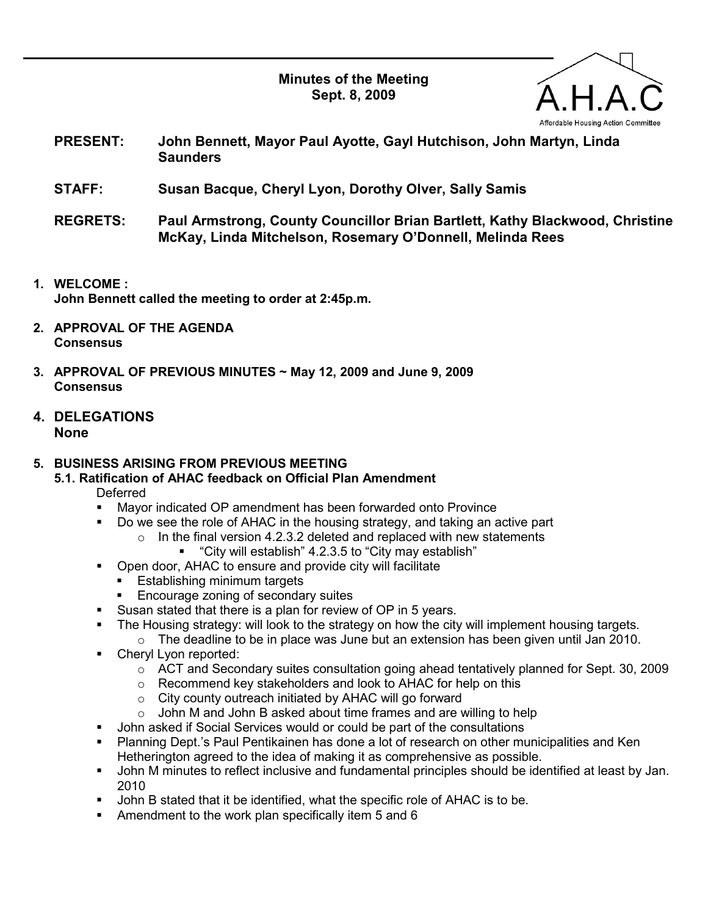Minutes of the Meeting Sept. 8, 2009



- PRESENT: John Bennett, Mayor Paul Ayotte, Gayl Hutchison, John Martyn, Linda **Saunders**
- STAFF: Susan Bacque, Cheryl Lyon, Dorothy Olver, Sally Samis
- REGRETS: Paul Armstrong, County Councillor Brian Bartlett, Kathy Blackwood, Christine McKay, Linda Mitchelson, Rosemary O'Donnell, Melinda Rees
- 1. WELCOME : John Bennett called the meeting to order at 2:45p.m.
- 2. APPROVAL OF THE AGENDA **Consensus**
- 3. APPROVAL OF PREVIOUS MINUTES ~ May 12, 2009 and June 9, 2009 **Consensus**
- 4. DELEGATIONS None

# 5. BUSINESS ARISING FROM PREVIOUS MEETING

- 5.1. Ratification of AHAC feedback on Official Plan Amendment
	- Deferred
	- Mayor indicated OP amendment has been forwarded onto Province
	- Do we see the role of AHAC in the housing strategy, and taking an active part
		- $\circ$  In the final version 4.2.3.2 deleted and replaced with new statements
			- "City will establish" 4.2.3.5 to "City may establish"
	- Open door, AHAC to ensure and provide city will facilitate
		- **Establishing minimum targets**
		- Encourage zoning of secondary suites
	- Susan stated that there is a plan for review of OP in 5 years.
	- The Housing strategy: will look to the strategy on how the city will implement housing targets.
		- o The deadline to be in place was June but an extension has been given until Jan 2010.
	- Cheryl Lyon reported:
		- o ACT and Secondary suites consultation going ahead tentatively planned for Sept. 30, 2009
		- o Recommend key stakeholders and look to AHAC for help on this
		- o City county outreach initiated by AHAC will go forward
		- o John M and John B asked about time frames and are willing to help
	- John asked if Social Services would or could be part of the consultations
	- Planning Dept.'s Paul Pentikainen has done a lot of research on other municipalities and Ken Hetherington agreed to the idea of making it as comprehensive as possible.
	- John M minutes to reflect inclusive and fundamental principles should be identified at least by Jan. 2010
	- John B stated that it be identified, what the specific role of AHAC is to be.
	- Amendment to the work plan specifically item 5 and 6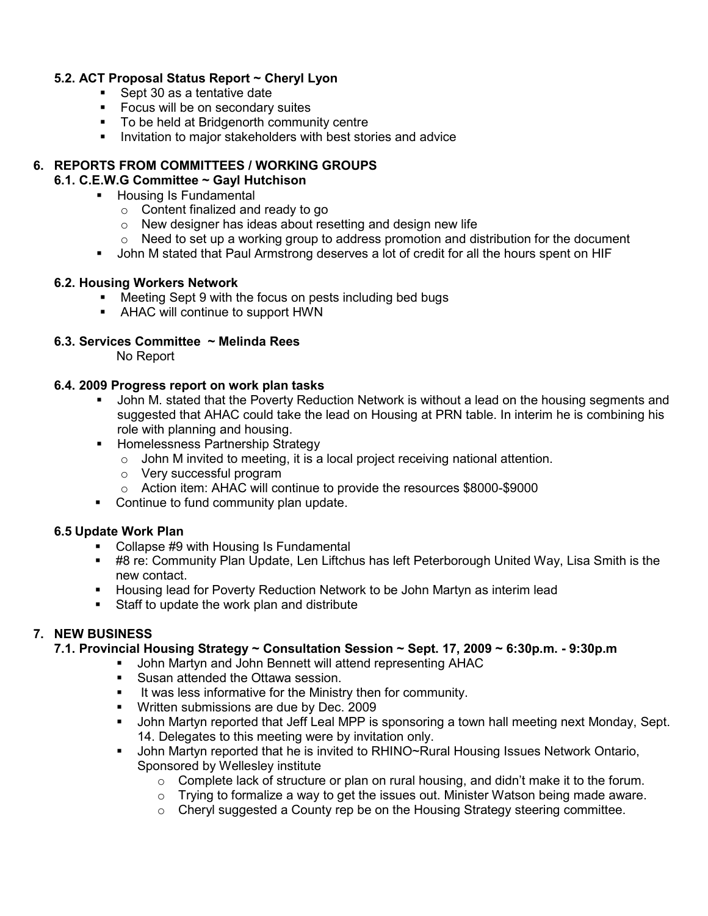## 5.2. ACT Proposal Status Report ~ Cheryl Lyon

- Sept 30 as a tentative date
- **Focus will be on secondary suites**
- To be held at Bridgenorth community centre
- **Invitation to major stakeholders with best stories and advice**

# 6. REPORTS FROM COMMITTEES / WORKING GROUPS

#### 6.1. C.E.W.G Committee ~ Gayl Hutchison

- **Housing Is Fundamental** 
	- o Content finalized and ready to go
	- o New designer has ideas about resetting and design new life
	- $\circ$  Need to set up a working group to address promotion and distribution for the document
- John M stated that Paul Armstrong deserves a lot of credit for all the hours spent on HIF

## 6.2. Housing Workers Network

- Meeting Sept 9 with the focus on pests including bed bugs
- **AHAC will continue to support HWN**

## 6.3. Services Committee ~ Melinda Rees

No Report

#### 6.4. 2009 Progress report on work plan tasks

- John M. stated that the Poverty Reduction Network is without a lead on the housing segments and suggested that AHAC could take the lead on Housing at PRN table. In interim he is combining his role with planning and housing.
- **Homelessness Partnership Strategy** 
	- o John M invited to meeting, it is a local project receiving national attention.
	- o Very successful program
	- o Action item: AHAC will continue to provide the resources \$8000-\$9000
- Continue to fund community plan update.

# 6.5 Update Work Plan

- Collapse #9 with Housing Is Fundamental
- #8 re: Community Plan Update, Len Liftchus has left Peterborough United Way, Lisa Smith is the new contact.
- Housing lead for Poverty Reduction Network to be John Martyn as interim lead
- **Staff to update the work plan and distribute**

# 7. NEW BUSINESS

# 7.1. Provincial Housing Strategy ~ Consultation Session ~ Sept. 17, 2009 ~ 6:30p.m. - 9:30p.m

- John Martyn and John Bennett will attend representing AHAC
	- **Susan attended the Ottawa session.**
	- It was less informative for the Ministry then for community.
	- **Written submissions are due by Dec. 2009**
	- John Martyn reported that Jeff Leal MPP is sponsoring a town hall meeting next Monday, Sept. 14. Delegates to this meeting were by invitation only.
	- John Martyn reported that he is invited to RHINO~Rural Housing Issues Network Ontario, Sponsored by Wellesley institute
		- $\circ$  Complete lack of structure or plan on rural housing, and didn't make it to the forum.
		- o Trying to formalize a way to get the issues out. Minister Watson being made aware.
		- $\circ$  Cheryl suggested a County rep be on the Housing Strategy steering committee.